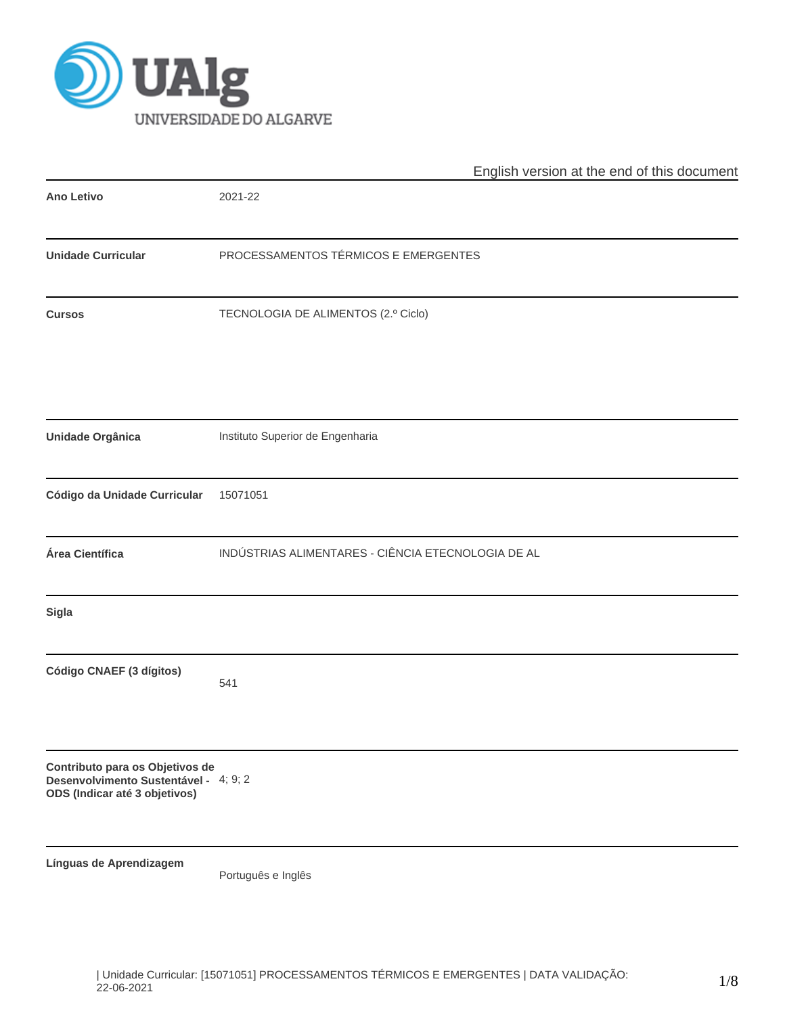

|                                                                                                           | English version at the end of this document        |  |  |  |  |  |  |
|-----------------------------------------------------------------------------------------------------------|----------------------------------------------------|--|--|--|--|--|--|
| <b>Ano Letivo</b>                                                                                         | 2021-22                                            |  |  |  |  |  |  |
| <b>Unidade Curricular</b>                                                                                 | PROCESSAMENTOS TÉRMICOS E EMERGENTES               |  |  |  |  |  |  |
| <b>Cursos</b>                                                                                             | TECNOLOGIA DE ALIMENTOS (2.º Ciclo)                |  |  |  |  |  |  |
| Unidade Orgânica                                                                                          | Instituto Superior de Engenharia                   |  |  |  |  |  |  |
| Código da Unidade Curricular                                                                              | 15071051                                           |  |  |  |  |  |  |
| Área Científica                                                                                           | INDÚSTRIAS ALIMENTARES - CIÊNCIA ETECNOLOGIA DE AL |  |  |  |  |  |  |
| Sigla                                                                                                     |                                                    |  |  |  |  |  |  |
| Código CNAEF (3 dígitos)                                                                                  | 541                                                |  |  |  |  |  |  |
| Contributo para os Objetivos de<br>Desenvolvimento Sustentável - 4; 9; 2<br>ODS (Indicar até 3 objetivos) |                                                    |  |  |  |  |  |  |
| Línguas de Aprendizagem                                                                                   | Português e Inglês                                 |  |  |  |  |  |  |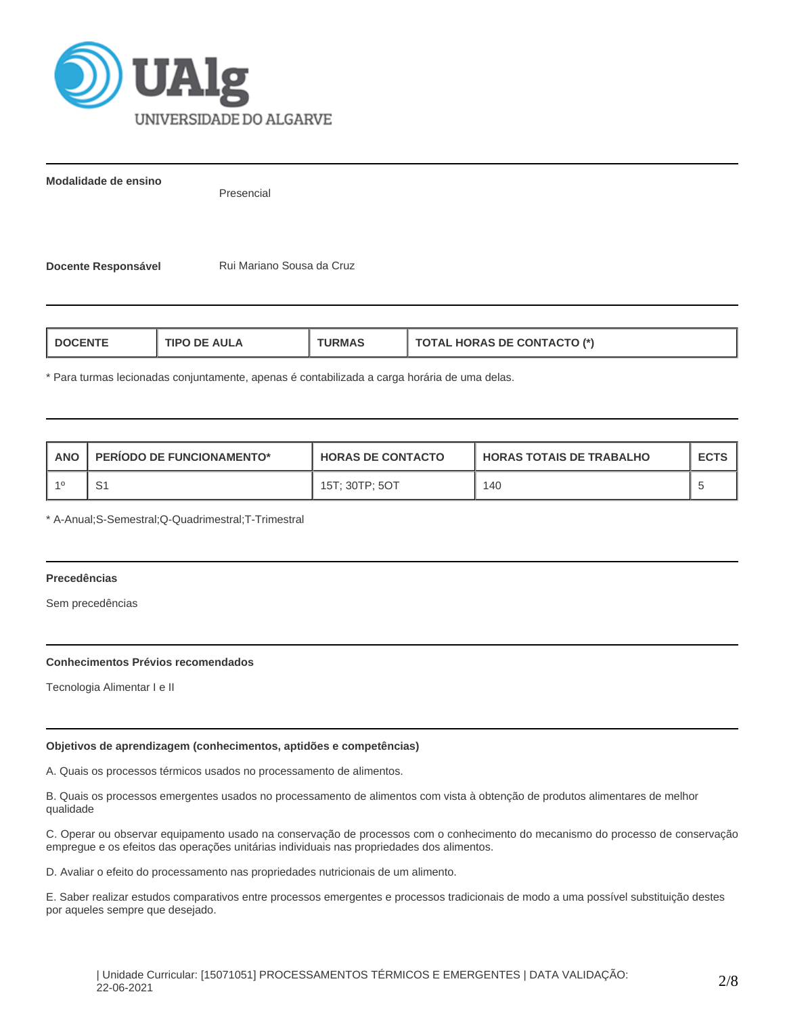

**Modalidade de ensino**

Presencial

**Docente Responsável Mariano Sousa da Cruz** 

| <b>HORAS DE CONTACTO (*)</b><br><b>AULA</b><br>I DOCENT<br>ΊPΓ<br>'RMA.<br>$\mathbf{A}$ i |
|-------------------------------------------------------------------------------------------|
|-------------------------------------------------------------------------------------------|

\* Para turmas lecionadas conjuntamente, apenas é contabilizada a carga horária de uma delas.

| ANO | <b>PERIODO DE FUNCIONAMENTO*</b> | <b>HORAS DE CONTACTO</b> | I HORAS TOTAIS DE TRABALHO | <b>ECTS</b> |
|-----|----------------------------------|--------------------------|----------------------------|-------------|
|     |                                  | 15T: 30TP: 5OT           | 140                        |             |

\* A-Anual;S-Semestral;Q-Quadrimestral;T-Trimestral

### **Precedências**

Sem precedências

### **Conhecimentos Prévios recomendados**

Tecnologia Alimentar I e II

# **Objetivos de aprendizagem (conhecimentos, aptidões e competências)**

A. Quais os processos térmicos usados no processamento de alimentos.

B. Quais os processos emergentes usados no processamento de alimentos com vista à obtenção de produtos alimentares de melhor qualidade

C. Operar ou observar equipamento usado na conservação de processos com o conhecimento do mecanismo do processo de conservação empregue e os efeitos das operações unitárias individuais nas propriedades dos alimentos.

D. Avaliar o efeito do processamento nas propriedades nutricionais de um alimento.

E. Saber realizar estudos comparativos entre processos emergentes e processos tradicionais de modo a uma possível substituição destes por aqueles sempre que desejado.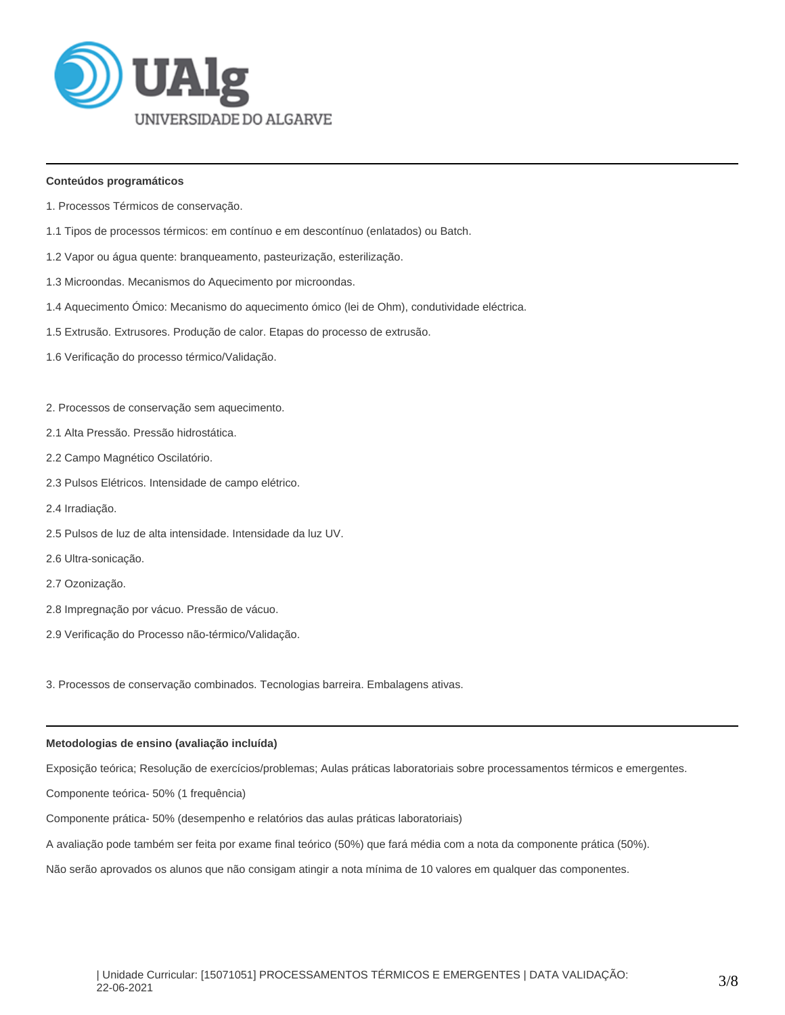

# **Conteúdos programáticos**

- 1. Processos Térmicos de conservação.
- 1.1 Tipos de processos térmicos: em contínuo e em descontínuo (enlatados) ou Batch.
- 1.2 Vapor ou água quente: branqueamento, pasteurização, esterilização.
- 1.3 Microondas. Mecanismos do Aquecimento por microondas.
- 1.4 Aquecimento Ómico: Mecanismo do aquecimento ómico (lei de Ohm), condutividade eléctrica.
- 1.5 Extrusão. Extrusores. Produção de calor. Etapas do processo de extrusão.
- 1.6 Verificação do processo térmico/Validação.
- 2. Processos de conservação sem aquecimento.
- 2.1 Alta Pressão. Pressão hidrostática.
- 2.2 Campo Magnético Oscilatório.
- 2.3 Pulsos Elétricos. Intensidade de campo elétrico.
- 2.4 Irradiação.
- 2.5 Pulsos de luz de alta intensidade. Intensidade da luz UV.
- 2.6 Ultra-sonicação.
- 2.7 Ozonização.
- 2.8 Impregnação por vácuo. Pressão de vácuo.
- 2.9 Verificação do Processo não-térmico/Validação.

3. Processos de conservação combinados. Tecnologias barreira. Embalagens ativas.

# **Metodologias de ensino (avaliação incluída)**

Exposição teórica; Resolução de exercícios/problemas; Aulas práticas laboratoriais sobre processamentos térmicos e emergentes.

Componente teórica- 50% (1 frequência)

Componente prática- 50% (desempenho e relatórios das aulas práticas laboratoriais)

A avaliação pode também ser feita por exame final teórico (50%) que fará média com a nota da componente prática (50%).

Não serão aprovados os alunos que não consigam atingir a nota mínima de 10 valores em qualquer das componentes.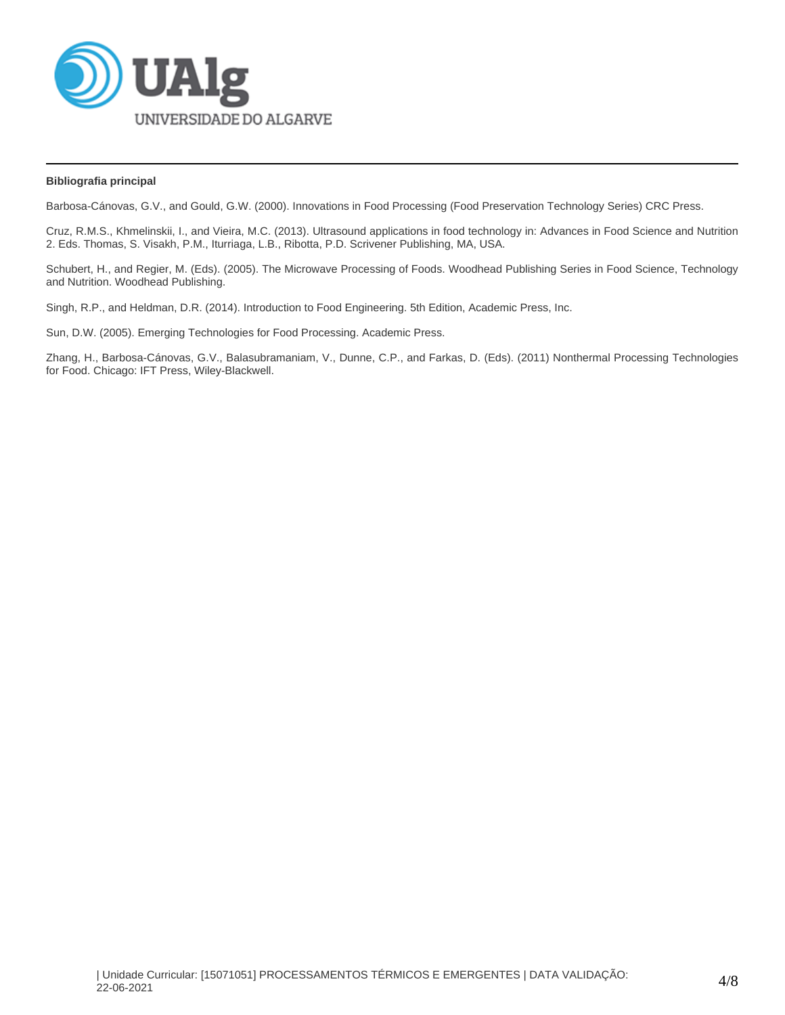

# **Bibliografia principal**

Barbosa-Cánovas, G.V., and Gould, G.W. (2000). Innovations in Food Processing (Food Preservation Technology Series) CRC Press.

Cruz, R.M.S., Khmelinskii, I., and Vieira, M.C. (2013). Ultrasound applications in food technology in: Advances in Food Science and Nutrition 2. Eds. Thomas, S. Visakh, P.M., Iturriaga, L.B., Ribotta, P.D. Scrivener Publishing, MA, USA.

Schubert, H., and Regier, M. (Eds). (2005). The Microwave Processing of Foods. Woodhead Publishing Series in Food Science, Technology and Nutrition. Woodhead Publishing.

Singh, R.P., and Heldman, D.R. (2014). Introduction to Food Engineering. 5th Edition, Academic Press, Inc.

Sun, D.W. (2005). Emerging Technologies for Food Processing. Academic Press.

Zhang, H., Barbosa-Cánovas, G.V., Balasubramaniam, V., Dunne, C.P., and Farkas, D. (Eds). (2011) Nonthermal Processing Technologies for Food. Chicago: IFT Press, Wiley-Blackwell.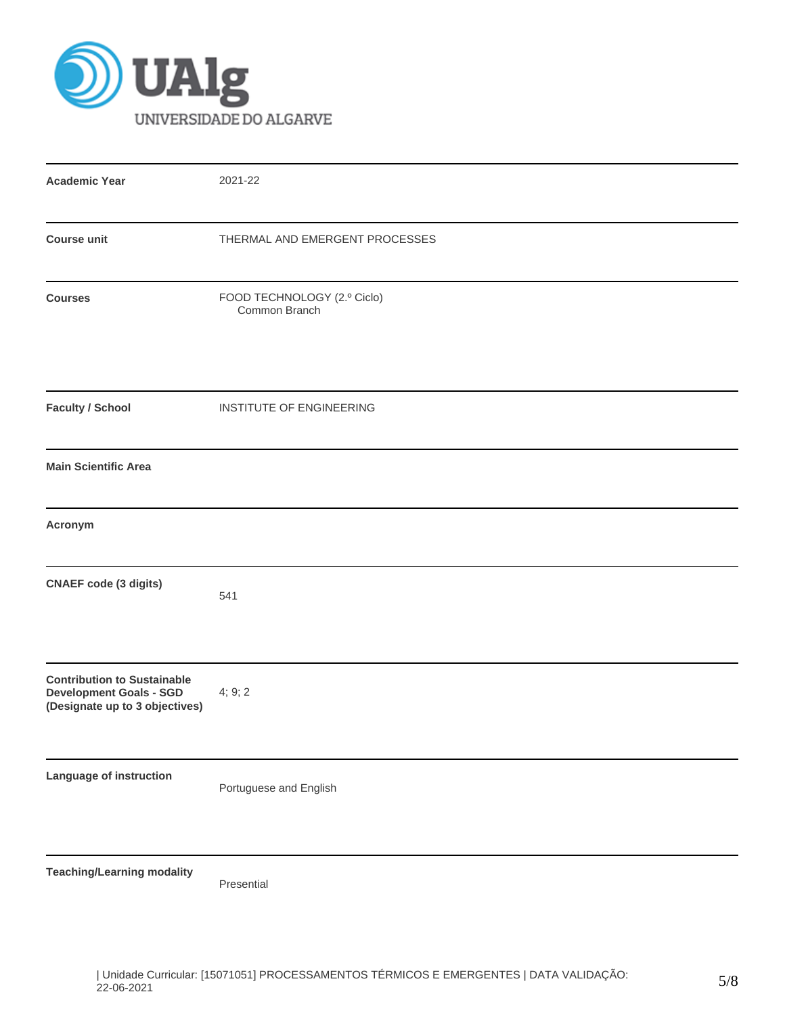

| <b>Academic Year</b>                                                                                   | 2021-22                                      |
|--------------------------------------------------------------------------------------------------------|----------------------------------------------|
| <b>Course unit</b>                                                                                     | THERMAL AND EMERGENT PROCESSES               |
| <b>Courses</b>                                                                                         | FOOD TECHNOLOGY (2.º Ciclo)<br>Common Branch |
| <b>Faculty / School</b>                                                                                | INSTITUTE OF ENGINEERING                     |
| <b>Main Scientific Area</b>                                                                            |                                              |
| Acronym                                                                                                |                                              |
| <b>CNAEF code (3 digits)</b>                                                                           | 541                                          |
| <b>Contribution to Sustainable</b><br><b>Development Goals - SGD</b><br>(Designate up to 3 objectives) | 4; 9; 2                                      |
| Language of instruction                                                                                | Portuguese and English                       |
| <b>Teaching/Learning modality</b>                                                                      | Presential                                   |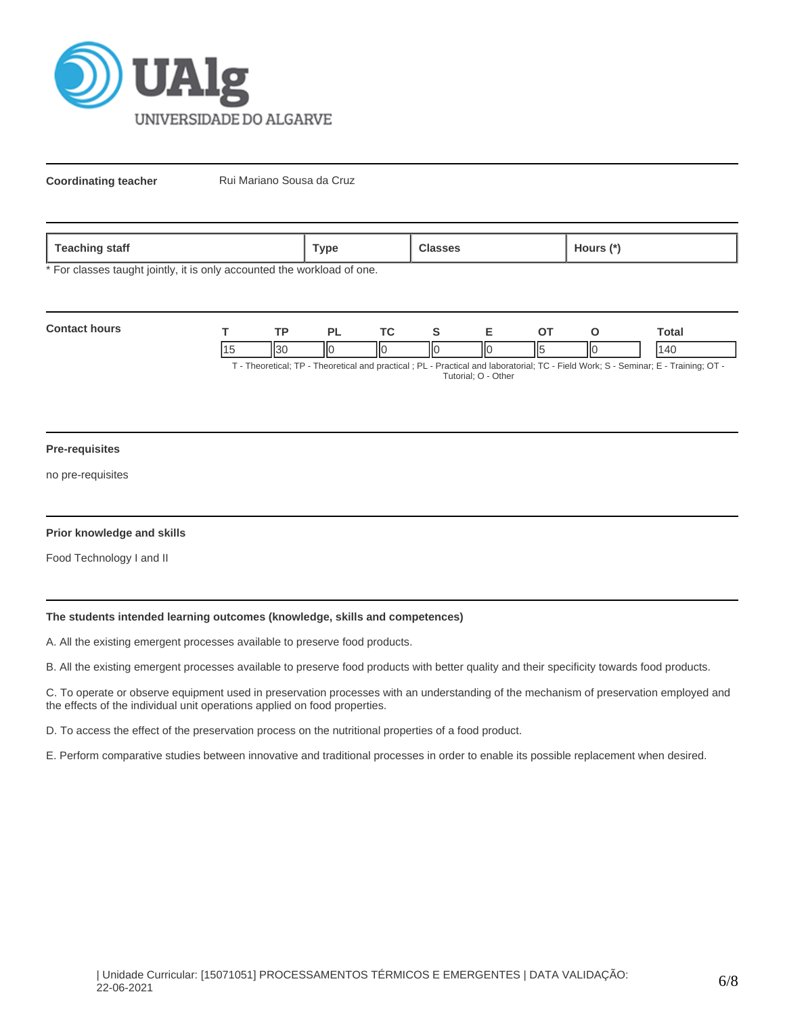

**Coordinating teacher** Rui Mariano Sousa da Cruz

| . .<br>ѕтатт<br>1.94911117<br>$\overline{\phantom{0}}$ | ™vpe |  | purs |
|--------------------------------------------------------|------|--|------|
|--------------------------------------------------------|------|--|------|

\* For classes taught jointly, it is only accounted the workload of one.

| <b>Contact hours</b> | тn   |     |   |    |     | `otal                                                                                                                        |
|----------------------|------|-----|---|----|-----|------------------------------------------------------------------------------------------------------------------------------|
|                      | ll30 | ll( | Ш | ∣⊾ | IІC | ، ۱۲                                                                                                                         |
|                      |      |     |   |    |     | T. Theoretical: TD. Theoretical and prootical : DL. Drastical and laboratorial: TC. Eight Wark: C. Caminar: E. Training: OT. |

T - Theoretical; TP - Theoretical and practical ; PL - Practical and laboratorial; TC - Field Work; S - Seminar; E - Training; OT - Tutorial; O - Other

#### **Pre-requisites**

no pre-requisites

### **Prior knowledge and skills**

Food Technology I and II

# **The students intended learning outcomes (knowledge, skills and competences)**

A. All the existing emergent processes available to preserve food products.

B. All the existing emergent processes available to preserve food products with better quality and their specificity towards food products.

C. To operate or observe equipment used in preservation processes with an understanding of the mechanism of preservation employed and the effects of the individual unit operations applied on food properties.

D. To access the effect of the preservation process on the nutritional properties of a food product.

E. Perform comparative studies between innovative and traditional processes in order to enable its possible replacement when desired.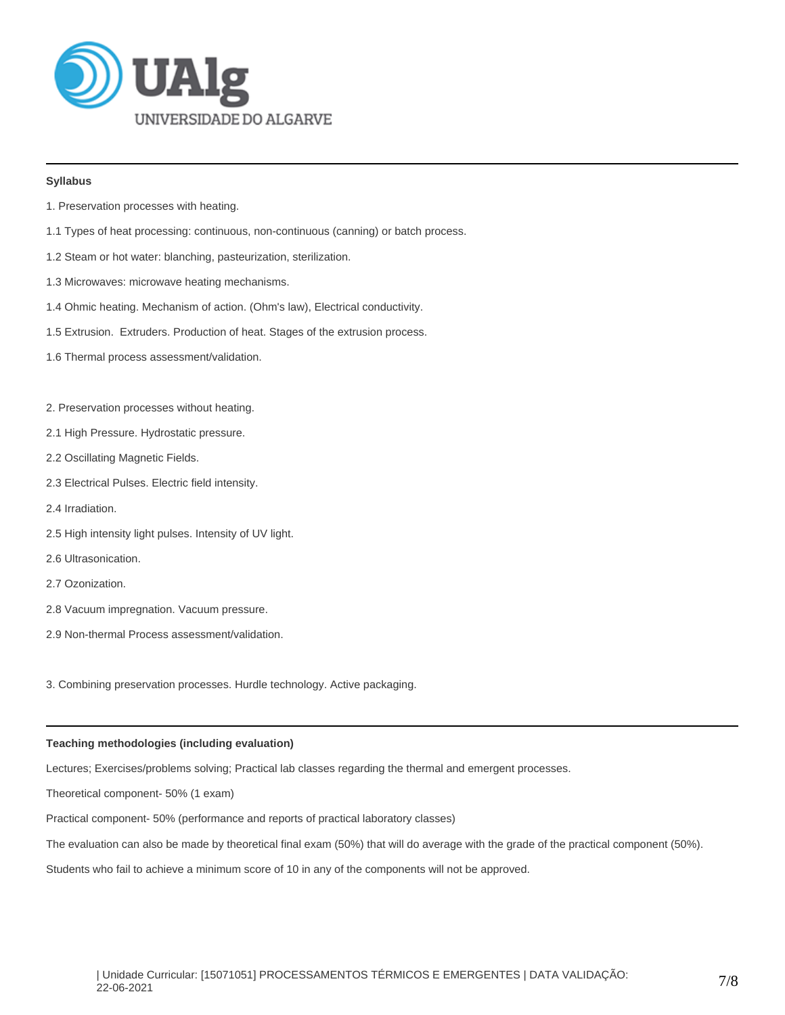

# **Syllabus**

- 1. Preservation processes with heating.
- 1.1 Types of heat processing: continuous, non-continuous (canning) or batch process.
- 1.2 Steam or hot water: blanching, pasteurization, sterilization.
- 1.3 Microwaves: microwave heating mechanisms.
- 1.4 Ohmic heating. Mechanism of action. (Ohm's law), Electrical conductivity.
- 1.5 Extrusion. Extruders. Production of heat. Stages of the extrusion process.
- 1.6 Thermal process assessment/validation.
- 2. Preservation processes without heating.
- 2.1 High Pressure. Hydrostatic pressure.
- 2.2 Oscillating Magnetic Fields.
- 2.3 Electrical Pulses. Electric field intensity.
- 2.4 Irradiation.
- 2.5 High intensity light pulses. Intensity of UV light.
- 2.6 Ultrasonication.
- 2.7 Ozonization.
- 2.8 Vacuum impregnation. Vacuum pressure.
- 2.9 Non-thermal Process assessment/validation.

3. Combining preservation processes. Hurdle technology. Active packaging.

### **Teaching methodologies (including evaluation)**

Lectures; Exercises/problems solving; Practical lab classes regarding the thermal and emergent processes.

Theoretical component- 50% (1 exam)

Practical component- 50% (performance and reports of practical laboratory classes)

The evaluation can also be made by theoretical final exam (50%) that will do average with the grade of the practical component (50%).

Students who fail to achieve a minimum score of 10 in any of the components will not be approved.